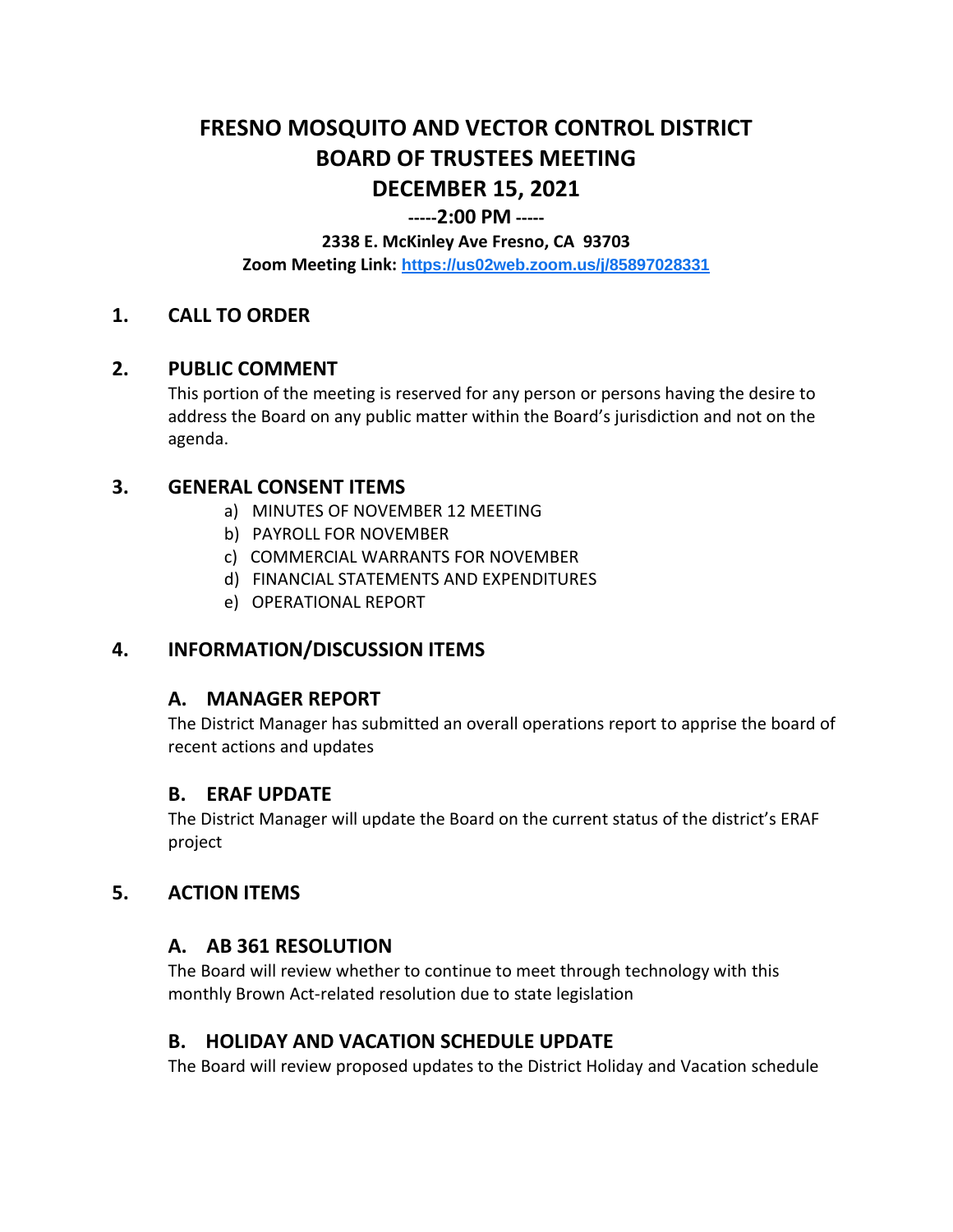# **FRESNO MOSQUITO AND VECTOR CONTROL DISTRICT BOARD OF TRUSTEES MEETING DECEMBER 15, 2021**

## **-----2:00 PM -----**

**2338 E. McKinley Ave Fresno, CA 93703**

**Zoom Meeting Link: <https://us02web.zoom.us/j/85897028331>**

# **1. CALL TO ORDER**

## **2. PUBLIC COMMENT**

This portion of the meeting is reserved for any person or persons having the desire to address the Board on any public matter within the Board's jurisdiction and not on the agenda.

## **3. GENERAL CONSENT ITEMS**

- a) MINUTES OF NOVEMBER 12 MEETING
- b) PAYROLL FOR NOVEMBER
- c) COMMERCIAL WARRANTS FOR NOVEMBER
- d) FINANCIAL STATEMENTS AND EXPENDITURES
- e) OPERATIONAL REPORT

# **4. INFORMATION/DISCUSSION ITEMS**

# **A. MANAGER REPORT**

The District Manager has submitted an overall operations report to apprise the board of recent actions and updates

#### **B. ERAF UPDATE**

The District Manager will update the Board on the current status of the district's ERAF project

# **5. ACTION ITEMS**

# **A. AB 361 RESOLUTION**

The Board will review whether to continue to meet through technology with this monthly Brown Act-related resolution due to state legislation

# **B. HOLIDAY AND VACATION SCHEDULE UPDATE**

The Board will review proposed updates to the District Holiday and Vacation schedule